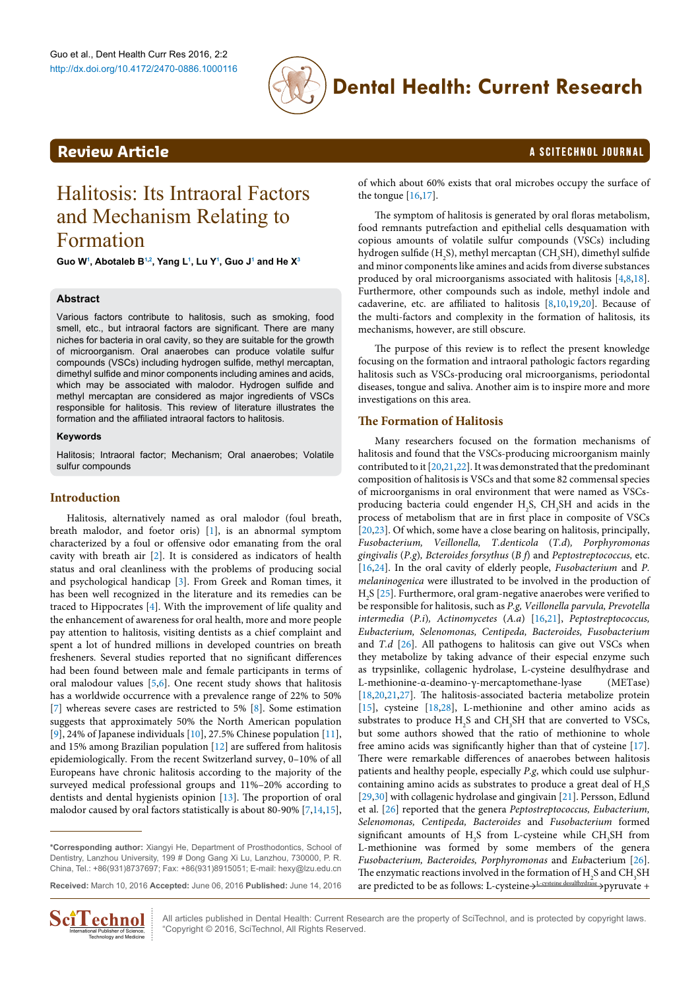

# **Dental Health: Current Research**

# <span id="page-0-0"></span>**Review Article a Scittering Contract Contract Contract Contract Contract Contract Contract Contract Contract Contract Contract Contract Contract Contract Contract Contract Contract Contract Contract Contract Contract Co**

# Halitosis: Its Intraoral Factors and Mechanism Relating to Formation

**Guo W[1](#page-4-0) , Abotaleb B[1,](#page-4-0)[2](#page-4-1) , Yang L[1](#page-4-0) , Lu [Y1](#page-4-0) , Guo J[1](#page-4-0) and He X[3](#page-4-2)**

### **Abstract**

Various factors contribute to halitosis, such as smoking, food smell, etc., but intraoral factors are significant. There are many niches for bacteria in oral cavity, so they are suitable for the growth of microorganism. Oral anaerobes can produce volatile sulfur compounds (VSCs) including hydrogen sulfide, methyl mercaptan, dimethyl sulfide and minor components including amines and acids, which may be associated with malodor. Hydrogen sulfide and methyl mercaptan are considered as major ingredients of VSCs responsible for halitosis. This review of literature illustrates the formation and the affiliated intraoral factors to halitosis.

#### **Keywords**

Halitosis; Intraoral factor; Mechanism; Oral anaerobes; Volatile sulfur compounds

## **Introduction**

Halitosis, alternatively named as oral malodor (foul breath, breath malodor, and foetor oris) [[1](#page-2-0)], is an abnormal symptom characterized by a foul or offensive odor emanating from the oral cavity with breath air [[2](#page-2-1)]. It is considered as indicators of health status and oral cleanliness with the problems of producing social and psychological handicap [[3](#page-2-2)]. From Greek and Roman times, it has been well recognized in the literature and its remedies can be traced to Hippocrates [\[4\]](#page-2-3). With the improvement of life quality and the enhancement of awareness for oral health, more and more people pay attention to halitosis, visiting dentists as a chief complaint and spent a lot of hundred millions in developed countries on breath fresheners. Several studies reported that no significant differences had been found between male and female participants in terms of oral malodour values  $[5,6]$  $[5,6]$  $[5,6]$  $[5,6]$ . One recent study shows that halitosis has a worldwide occurrence with a prevalence range of 22% to 50% [[7\]](#page-2-6) whereas severe cases are restricted to 5% [\[8](#page-2-7)]. Some estimation suggests that approximately 50% the North American population [[9\]](#page-2-8), 24% of Japanese individuals [[10](#page-2-9)], 27.5% Chinese population [[11](#page-2-10)], and 15% among Brazilian population [\[12](#page-2-11)] are suffered from halitosis epidemiologically. From the recent Switzerland survey, 0–10% of all Europeans have chronic halitosis according to the majority of the surveyed medical professional groups and 11%–20% according to dentists and dental hygienists opinion [[13](#page-3-0)]. The proportion of oral malodor caused by oral factors statistically is about 80-90% [[7](#page-2-6)[,14,](#page-3-1)[15](#page-3-2)],

**Received:** March 10, 2016 **Accepted:** June 06, 2016 **Published:** June 14, 2016



All articles published in Dental Health: Current Research are the property of SciTechnol, and is protected by copyright laws.  $\text{C}_n^{\text{T}}$  **Lechnol Expansional Publisher of Science,**  $\text{C}_n^{\text{T}}$  All articles published in Dental Health: Current Reserved.

of which about 60% exists that oral microbes occupy the surface of the tongue [\[16](#page-3-3)[,17\]](#page-3-4).

The symptom of halitosis is generated by oral floras metabolism, food remnants putrefaction and epithelial cells desquamation with copious amounts of volatile sulfur compounds (VSCs) including hydrogen sulfide (H<sub>2</sub>S), methyl mercaptan (CH<sub>3</sub>SH), dimethyl sulfide and minor components like amines and acids from diverse substances produced by oral microorganisms associated with halitosis [\[4,](#page-2-3)[8,](#page-2-7)[18\]](#page-3-5). Furthermore, other compounds such as indole, methyl indole and cadaverine, etc. are affiliated to halitosis [[8,](#page-2-7)[10,](#page-2-9)[19](#page-3-6)[,20\]](#page-3-7). Because of the multi-factors and complexity in the formation of halitosis, its mechanisms, however, are still obscure.

The purpose of this review is to reflect the present knowledge focusing on the formation and intraoral pathologic factors regarding halitosis such as VSCs-producing oral microorganisms, periodontal diseases, tongue and saliva. Another aim is to inspire more and more investigations on this area.

### **The Formation of Halitosis**

Many researchers focused on the formation mechanisms of halitosis and found that the VSCs-producing microorganism mainly contributed to it [[20,](#page-3-7)[21](#page-3-8)[,22\]](#page-3-9). It was demonstrated that the predominant composition of halitosis is VSCs and that some 82 commensal species of microorganisms in oral environment that were named as VSCsproducing bacteria could engender  $H_2S$ ,  $CH_3SH$  and acids in the process of metabolism that are in first place in composite of VSCs [[20](#page-3-7),[23](#page-3-10)]. Of which, some have a close bearing on halitosis, principally, *Fusobacterium, Veillonella, T.denticola* (*T.d*)*, Porphyromonas gingivalis* (*P.g*)*, Bcteroides forsythus* (*B f*) and *Peptostreptococcus,* etc. [[16](#page-3-3),[24](#page-3-11)]. In the oral cavity of elderly people, *Fusobacterium* and *P. melaninogenica* were illustrated to be involved in the production of  $H<sub>2</sub>S$  [\[25\]](#page-3-12). Furthermore, oral gram-negative anaerobes were verified to be responsible for halitosis, such as *P.g, Veillonella parvula, Prevotella intermedia* (*P.i*)*, Actinomycetes* (*A.a*) [[16](#page-3-3)[,21](#page-3-8)], *Peptostreptococcus, Eubacterium, Selenomonas, Centipeda, Bacteroides, Fusobacterium*  and *T.d* [\[26\]](#page-3-13). All pathogens to halitosis can give out VSCs when they metabolize by taking advance of their especial enzyme such as trypsinlike, collagenic hydrolase, L-cysteine desulfhydrase and L-methionine-α-deamino-γ-mercaptomethane-lyase (METase) [[18](#page-3-5),[20](#page-3-7)[,21,](#page-3-8)[27\]](#page-3-14). The halitosis-associated bacteria metabolize protein [[15](#page-3-2)], cysteine [\[18](#page-3-5)[,28\]](#page-3-15), L-methionine and other amino acids as substrates to produce  $H_2S$  and  $CH_3SH$  that are converted to VSCs, but some authors showed that the ratio of methionine to whole free amino acids was significantly higher than that of cysteine [[17\]](#page-3-4). There were remarkable differences of anaerobes between halitosis patients and healthy people, especially *P.g*, which could use sulphurcontaining amino acids as substrates to produce a great deal of  $H_2S$ [[29](#page-3-16),[30](#page-3-17)] with collagenic hydrolase and gingivain [\[21](#page-3-8)]. Persson, Edlund et al. [[26\]](#page-3-13) reported that the genera *Peptostreptococcus, Eubacterium, Selenomonas, Centipeda, Bacteroides* and *Fusobacterium* formed significant amounts of  $H_2S$  from L-cysteine while  $CH_3SH$  from L-methionine was formed by some members of the genera *Fusobacterium, Bacteroides, Porphyromonas* and *Eub*acterium [[26\]](#page-3-13). The enzymatic reactions involved in the formation of  $\rm H_2S$  and  $\rm CH_3SH$ are predicted to be as follows: L-cysteine→L-cysteine desulfhydrase→pyruvate +

**<sup>\*</sup>Corresponding author:** Xiangyi He, Department of Prosthodontics, School of Dentistry, Lanzhou University, 199 # Dong Gang Xi Lu, Lanzhou, 730000, P. R. China, Tel.: +86(931)8737697; Fax: +86(931)8915051; E-mail: hexy@lzu.edu.cn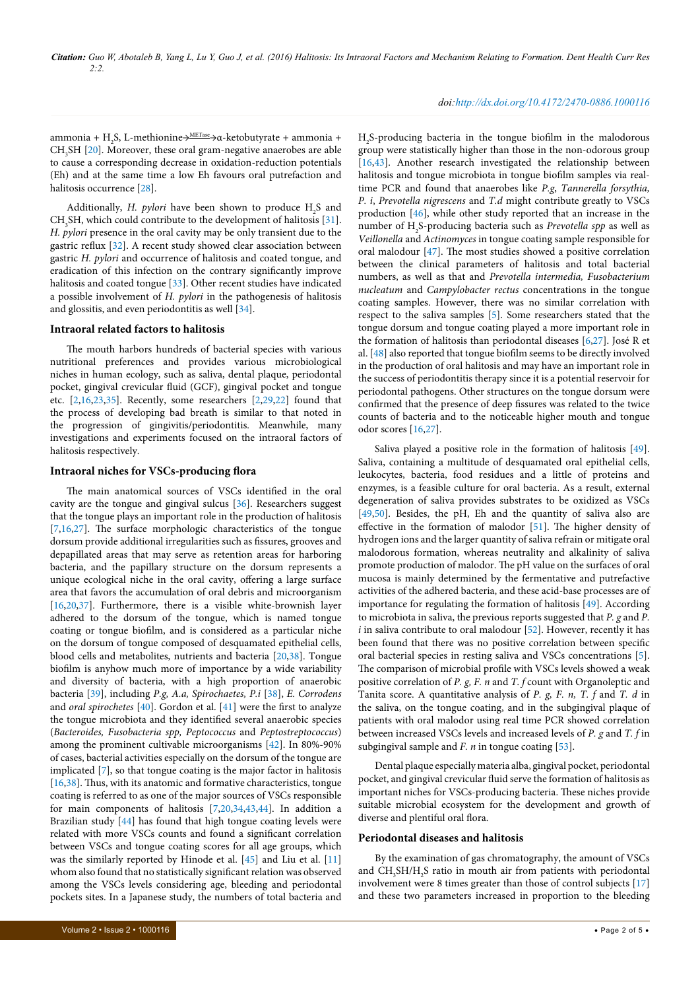### *doi:http://dx.doi.org/10.4172/2470-0886.1000116*

ammonia + H<sub>2</sub>S, L-methionine→<sup>METase</sup>→α-ketobutyrate + ammonia +  $CH<sub>3</sub>SH$  [[20](#page-3-7)]. Moreover, these oral gram-negative anaerobes are able to cause a corresponding decrease in oxidation-reduction potentials (Eh) and at the same time a low Eh favours oral putrefaction and halitosis occurrence [[28](#page-3-15)].

Additionally, *H. pylori* have been shown to produce H<sub>2</sub>S and  $CH<sub>3</sub>SH$ , which could contribute to the development of halitosis [[31](#page-3-27)]. *H. pylori* presence in the oral cavity may be only transient due to the gastric reflux [[32](#page-3-28)]. A recent study showed clear association between gastric *H. pylori* and occurrence of halitosis and coated tongue, and eradication of this infection on the contrary significantly improve halitosis and coated tongue [[33](#page-3-29)]. Other recent studies have indicated a possible involvement of *H. pylori* in the pathogenesis of halitosis and glossitis, and even periodontitis as well [\[34\]](#page-3-30).

### **Intraoral related factors to halitosis**

The mouth harbors hundreds of bacterial species with various nutritional preferences and provides various microbiological niches in human ecology, such as saliva, dental plaque, periodontal pocket, gingival crevicular fluid (GCF), gingival pocket and tongue etc. [\[2,](#page-2-1)[16](#page-3-3)[,23](#page-3-10)[,35\]](#page-3-31). Recently, some researchers [\[2](#page-2-1),[29](#page-3-16)[,22\]](#page-3-9) found that the process of developing bad breath is similar to that noted in the progression of gingivitis/periodontitis. Meanwhile, many investigations and experiments focused on the intraoral factors of halitosis respectively.

#### **Intraoral niches for VSCs-producing flora**

The main anatomical sources of VSCs identified in the oral cavity are the tongue and gingival sulcus [\[36\]](#page-3-32). Researchers suggest that the tongue plays an important role in the production of halitosis [[7,](#page-2-6)[16,](#page-3-3)[27](#page-3-14)]. The surface morphologic characteristics of the tongue dorsum provide additional irregularities such as fissures, grooves and depapillated areas that may serve as retention areas for harboring bacteria, and the papillary structure on the dorsum represents a unique ecological niche in the oral cavity, offering a large surface area that favors the accumulation of oral debris and microorganism [[16](#page-3-3)[,20,](#page-3-7)[37\]](#page-3-33). Furthermore, there is a visible white-brownish layer adhered to the dorsum of the tongue, which is named tongue coating or tongue biofilm, and is considered as a particular niche on the dorsum of tongue composed of desquamated epithelial cells, blood cells and metabolites, nutrients and bacteria [\[20,](#page-3-7)[38\]](#page-3-34). Tongue biofilm is anyhow much more of importance by a wide variability and diversity of bacteria, with a high proportion of anaerobic bacteria [[39\]](#page-3-35), including *P.g, A.a, Spirochaetes, P.i* [[38](#page-3-34)], *E. Corrodens*  and *oral spirochetes* [\[40\]](#page-3-36). Gordon et al. [[41](#page-3-37)] were the first to analyze the tongue microbiota and they identified several anaerobic species (*Bacteroides, Fusobacteria spp, Peptococcus* and *Peptostreptococcus*) among the prominent cultivable microorganisms [[42\]](#page-3-38). In 80%-90% of cases, bacterial activities especially on the dorsum of the tongue are implicated [\[7\]](#page-2-6), so that tongue coating is the major factor in halitosis [[16](#page-3-3)[,38\]](#page-3-34). Thus, with its anatomic and formative characteristics, tongue coating is referred to as one of the major sources of VSCs responsible for main components of halitosis [\[7](#page-2-6),[20](#page-3-7)[,34,](#page-3-30)[43,](#page-3-18)[44](#page-3-39)]. In addition a Brazilian study [\[44\]](#page-3-39) has found that high tongue coating levels were related with more VSCs counts and found a significant correlation between VSCs and tongue coating scores for all age groups, which was the similarly reported by Hinode et al. [\[45\]](#page-3-40) and Liu et al. [[11](#page-2-10)] whom also found that no statistically significant relation was observed among the VSCs levels considering age, bleeding and periodontal pockets sites. In a Japanese study, the numbers of total bacteria and

H2 S-producing bacteria in the tongue biofilm in the malodorous group were statistically higher than those in the non-odorous group [[16](#page-3-3),[43](#page-3-18)]. Another research investigated the relationship between halitosis and tongue microbiota in tongue biofilm samples via realtime PCR and found that anaerobes like *P.g*, *Tannerella forsythia, P. i*, *Prevotella nigrescens* and *T.d* might contribute greatly to VSCs production [\[46](#page-3-19)], while other study reported that an increase in the number of H<sub>2</sub>S-producing bacteria such as *Prevotella spp* as well as *Veillonella* and *Actinomyces* in tongue coating sample responsible for oral malodour [\[47\]](#page-3-20). The most studies showed a positive correlation between the clinical parameters of halitosis and total bacterial numbers, as well as that and *Prevotella intermedia, Fusobacterium nucleatum* and *Campylobacter rectus* concentrations in the tongue coating samples. However, there was no similar correlation with respect to the saliva samples [\[5\]](#page-2-4). Some researchers stated that the tongue dorsum and tongue coating played a more important role in the formation of halitosis than periodontal diseases [\[6](#page-2-5)[,27](#page-3-14)]. José R et al. [[48](#page-3-21)] also reported that tongue biofilm seems to be directly involved in the production of oral halitosis and may have an important role in the success of periodontitis therapy since it is a potential reservoir for periodontal pathogens. Other structures on the tongue dorsum were confirmed that the presence of deep fissures was related to the twice counts of bacteria and to the noticeable higher mouth and tongue odor scores [\[16](#page-3-3)[,27\]](#page-3-14).

Saliva played a positive role in the formation of halitosis [[49\]](#page-3-22). Saliva, containing a multitude of desquamated oral epithelial cells, leukocytes, bacteria, food residues and a little of proteins and enzymes, is a feasible culture for oral bacteria. As a result, external degeneration of saliva provides substrates to be oxidized as VSCs [[49](#page-3-22),[50](#page-3-23)]. Besides, the pH, Eh and the quantity of saliva also are effective in the formation of malodor [[51](#page-3-24)]. The higher density of hydrogen ions and the larger quantity of saliva refrain or mitigate oral malodorous formation, whereas neutrality and alkalinity of saliva promote production of malodor. The pH value on the surfaces of oral mucosa is mainly determined by the fermentative and putrefactive activities of the adhered bacteria, and these acid-base processes are of importance for regulating the formation of halitosis [[49](#page-3-22)]. According to microbiota in saliva, the previous reports suggested that *P. g* and *P. i* in saliva contribute to oral malodour [[52](#page-3-25)]. However, recently it has been found that there was no positive correlation between specific oral bacterial species in resting saliva and VSCs concentrations [\[5\]](#page-2-4). The comparison of microbial profile with VSCs levels showed a weak positive correlation of *P. g, F. n* and *T. f* count with Organoleptic and Tanita score. A quantitative analysis of *P. g, F. n, T. f* and *T. d* in the saliva, on the tongue coating, and in the subgingival plaque of patients with oral malodor using real time PCR showed correlation between increased VSCs levels and increased levels of *P. g* and *T. f* in subgingival sample and *F. n* in tongue coating [\[53\]](#page-3-26).

Dental plaque especially materia alba, gingival pocket, periodontal pocket, and gingival crevicular fluid serve the formation of halitosis as important niches for VSCs-producing bacteria. These niches provide suitable microbial ecosystem for the development and growth of diverse and plentiful oral flora.

#### **Periodontal diseases and halitosis**

By the examination of gas chromatography, the amount of VSCs and CH<sub>3</sub>SH/H<sub>2</sub>S ratio in mouth air from patients with periodontal involvement were 8 times greater than those of control subjects [\[17\]](#page-3-4) and these two parameters increased in proportion to the bleeding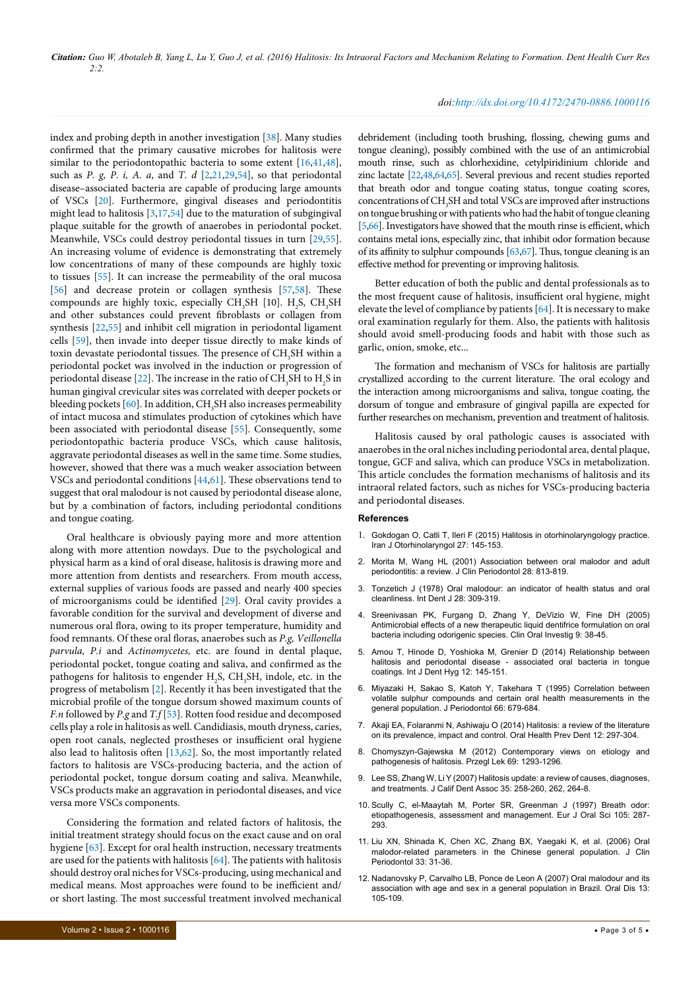index and probing depth in another investigation [\[38\]](#page-3-34). Many studies confirmed that the primary causative microbes for halitosis were similar to the periodontopathic bacteria to some extent [\[16](#page-3-3)[,41,](#page-3-37)[48](#page-3-21)], such as *P. g, P. i, A. a*, and *T. d* [\[2](#page-2-1)[,21](#page-3-8)[,29,](#page-3-16)[54](#page-3-41)], so that periodontal disease–associated bacteria are capable of producing large amounts of VSCs [[20](#page-3-7)]. Furthermore, gingival diseases and periodontitis might lead to halitosis  $[3,17,54]$  $[3,17,54]$  $[3,17,54]$  $[3,17,54]$  $[3,17,54]$  due to the maturation of subgingival plaque suitable for the growth of anaerobes in periodontal pocket. Meanwhile, VSCs could destroy periodontal tissues in turn [\[29,](#page-3-16)[55](#page-3-42)]. An increasing volume of evidence is demonstrating that extremely low concentrations of many of these compounds are highly toxic to tissues [[55\]](#page-3-42). It can increase the permeability of the oral mucosa [[56](#page-3-43)] and decrease protein or collagen synthesis [[57,](#page-3-44)[58](#page-3-45)]. These compounds are highly toxic, especially  $CH<sub>3</sub>SH$  [10].  $H<sub>2</sub>S$ ,  $CH<sub>3</sub>SH$ and other substances could prevent fibroblasts or collagen from synthesis [\[22,](#page-3-9)[55\]](#page-3-42) and inhibit cell migration in periodontal ligament cells [\[59\]](#page-3-46), then invade into deeper tissue directly to make kinds of toxin devastate periodontal tissues. The presence of  $\mathrm{CH}_{_{3}}\mathrm{SH}$  within a periodontal pocket was involved in the induction or progression of periodontal disease [[22\]](#page-3-9). The increase in the ratio of CH<sub>3</sub>SH to H<sub>2</sub>S in human gingival crevicular sites was correlated with deeper pockets or bleeding pockets [\[60\]](#page-3-47). In addition,  $\mathrm{CH_{3}SH}$  also increases permeability of intact mucosa and stimulates production of cytokines which have been associated with periodontal disease [\[55\]](#page-3-42). Consequently, some periodontopathic bacteria produce VSCs, which cause halitosis, aggravate periodontal diseases as well in the same time. Some studies, however, showed that there was a much weaker association between VSCs and periodontal conditions [[44,](#page-3-39)[61](#page-3-48)]. These observations tend to suggest that oral malodour is not caused by periodontal disease alone, but by a combination of factors, including periodontal conditions and tongue coating.

Oral healthcare is obviously paying more and more attention along with more attention nowdays. Due to the psychological and physical harm as a kind of oral disease, halitosis is drawing more and more attention from dentists and researchers. From mouth access, external supplies of various foods are passed and nearly 400 species of microorganisms could be identified [\[29\]](#page-3-16). Oral cavity provides a favorable condition for the survival and development of diverse and numerous oral flora, owing to its proper temperature, humidity and food remnants. Of these oral floras, anaerobes such as *P.g, Veillonella parvula, P.i* and *Actinomycetes,* etc. are found in dental plaque, periodontal pocket, tongue coating and saliva, and confirmed as the pathogens for halitosis to engender  $H_2S$ ,  $CH_3SH$ , indole, etc. in the progress of metabolism [\[2](#page-2-1)]. Recently it has been investigated that the microbial profile of the tongue dorsum showed maximum counts of *F.n* followed by *P.g* and *T.f* [[53](#page-3-26)]. Rotten food residue and decomposed cells play a role in halitosis as well. Candidiasis, mouth dryness, caries, open root canals, neglected prostheses or insufficient oral hygiene also lead to halitosis often [\[13,](#page-3-0)[62](#page-4-3)]. So, the most importantly related factors to halitosis are VSCs-producing bacteria, and the action of periodontal pocket, tongue dorsum coating and saliva. Meanwhile, VSCs products make an aggravation in periodontal diseases, and vice versa more VSCs components.

Considering the formation and related factors of halitosis, the initial treatment strategy should focus on the exact cause and on oral hygiene [[63](#page-4-4)]. Except for oral health instruction, necessary treatments are used for the patients with halitosis [[64\]](#page-4-5). The patients with halitosis should destroy oral niches for VSCs-producing, using mechanical and medical means. Most approaches were found to be inefficient and/ or short lasting. The most successful treatment involved mechanical

#### *doi:http://dx.doi.org/10.4172/2470-0886.1000116*

debridement (including tooth brushing, flossing, chewing gums and tongue cleaning), possibly combined with the use of an antimicrobial mouth rinse, such as chlorhexidine, cetylpiridinium chloride and zinc lactate [[22,](#page-3-9)[48](#page-3-21)[,64](#page-4-5)[,65](#page-4-6)]. Several previous and recent studies reported that breath odor and tongue coating status, tongue coating scores, concentrations of  $\rm CH_{_{3}}SH$  and total VSCs are improved after instructions on tongue brushing or with patients who had the habit of tongue cleaning [[5,](#page-2-4)[66\]](#page-4-7). Investigators have showed that the mouth rinse is efficient, which contains metal ions, especially zinc, that inhibit odor formation because of its affinity to sulphur compounds [[63,](#page-4-4)[67](#page-4-8)]. Thus, tongue cleaning is an effective method for preventing or improving halitosis.

Better education of both the public and dental professionals as to the most frequent cause of halitosis, insufficient oral hygiene, might elevate the level of compliance by patients [[64\]](#page-4-5). It is necessary to make oral examination regularly for them. Also, the patients with halitosis should avoid smell-producing foods and habit with those such as garlic, onion, smoke, etc...

The formation and mechanism of VSCs for halitosis are partially crystallized according to the current literature. The oral ecology and the interaction among microorganisms and saliva, tongue coating, the dorsum of tongue and embrasure of gingival papilla are expected for further researches on mechanism, prevention and treatment of halitosis.

Halitosis caused by oral pathologic causes is associated with anaerobes in the oral niches including periodontal area, dental plaque, tongue, GCF and saliva, which can produce VSCs in metabolization. This article concludes the formation mechanisms of halitosis and its intraoral related factors, such as niches for VSCs-producing bacteria and periodontal diseases.

#### **References**

- <span id="page-2-0"></span>1. [Gokdogan O, Catli T, Ileri F \(2015\) Halitosis in otorhinolaryngology practice.](http://www.ncbi.nlm.nih.gov/pubmed/25938086)  [Iran J Otorhinolaryngol 27: 145-153.](http://www.ncbi.nlm.nih.gov/pubmed/25938086)
- <span id="page-2-1"></span>2. [Morita M, Wang HL \(2001\) Association between oral malodor and adult](http://www.ncbi.nlm.nih.gov/pubmed/11493349)  [periodontitis: a review. J Clin Periodontol 28: 813-819.](http://www.ncbi.nlm.nih.gov/pubmed/11493349)
- <span id="page-2-2"></span>3. [Tonzetich J \(1978\) Oral malodour: an indicator of health status and oral](http://www.ncbi.nlm.nih.gov/pubmed/279515)  [cleanliness. Int Dent J 28: 309-319.](http://www.ncbi.nlm.nih.gov/pubmed/279515)
- <span id="page-2-3"></span>4. [Sreenivasan PK, Furgang D, Zhang Y, DeVizio W, Fine DH \(2005\)](http://www.ncbi.nlm.nih.gov/pubmed/15449114)  [Antimicrobial effects of a new therapeutic liquid dentifrice formulation on oral](http://www.ncbi.nlm.nih.gov/pubmed/15449114)  [bacteria including odorigenic species. Clin Oral Investig 9: 38-45.](http://www.ncbi.nlm.nih.gov/pubmed/15449114)
- <span id="page-2-4"></span>5. [Amou T, Hinode D, Yoshioka M, Grenier D \(2014\) Relationship between](http://www.ncbi.nlm.nih.gov/pubmed/23890391)  [halitosis and periodontal disease - associated oral bacteria in tongue](http://www.ncbi.nlm.nih.gov/pubmed/23890391)  [coatings. Int J Dent Hyg 12: 145-151.](http://www.ncbi.nlm.nih.gov/pubmed/23890391)
- <span id="page-2-5"></span>6. [Miyazaki H, Sakao S, Katoh Y, Takehara T \(1995\) Correlation between](http://www.ncbi.nlm.nih.gov/pubmed/7473010)  [volatile sulphur compounds and certain oral health measurements in the](http://www.ncbi.nlm.nih.gov/pubmed/7473010)  [general population. J Periodontol 66: 679-684.](http://www.ncbi.nlm.nih.gov/pubmed/7473010)
- <span id="page-2-6"></span>7. [Akaji EA, Folaranmi N, Ashiwaju O \(2014\) Halitosis: a review of the literature](http://www.ncbi.nlm.nih.gov/pubmed/25525639)  [on its prevalence, impact and control. Oral Health Prev Dent 12: 297-304.](http://www.ncbi.nlm.nih.gov/pubmed/25525639)
- <span id="page-2-7"></span>8. [Chomyszyn-Gajewska M \(2012\) Contemporary views on etiology and](http://www.ncbi.nlm.nih.gov/pubmed/23750442)  [pathogenesis of halitosis. Przegl Lek 69: 1293-1296.](http://www.ncbi.nlm.nih.gov/pubmed/23750442)
- <span id="page-2-8"></span>9. [Lee SS, Zhang W, Li Y \(2007\) Halitosis update: a review of causes, diagnoses,](http://www.ncbi.nlm.nih.gov/pubmed/17612364)  [and treatments. J Calif Dent Assoc 35: 258-260, 262, 264-8.](http://www.ncbi.nlm.nih.gov/pubmed/17612364)
- <span id="page-2-9"></span>10. [Scully C, el-Maaytah M, Porter SR, Greenman J \(1997\) Breath odor:](http://www.ncbi.nlm.nih.gov/pubmed/9298358)  [etiopathogenesis, assessment and management. Eur J Oral Sci 105: 287-](http://www.ncbi.nlm.nih.gov/pubmed/9298358) [293.](http://www.ncbi.nlm.nih.gov/pubmed/9298358)
- <span id="page-2-10"></span>11. [Liu XN, Shinada K, Chen XC, Zhang BX, Yaegaki K, et al. \(2006\) Oral](http://www.ncbi.nlm.nih.gov/pubmed/16367853)  [malodor-related parameters in the Chinese general population. J Clin](http://www.ncbi.nlm.nih.gov/pubmed/16367853)  [Periodontol 33: 31-36.](http://www.ncbi.nlm.nih.gov/pubmed/16367853)
- <span id="page-2-11"></span>12. [Nadanovsky P, Carvalho LB, Ponce de Leon A \(2007\) Oral malodour and its](http://www.ncbi.nlm.nih.gov/pubmed/17241439)  [association with age and sex in a general population in Brazil. Oral Dis 13:](http://www.ncbi.nlm.nih.gov/pubmed/17241439)  [105-109.](http://www.ncbi.nlm.nih.gov/pubmed/17241439)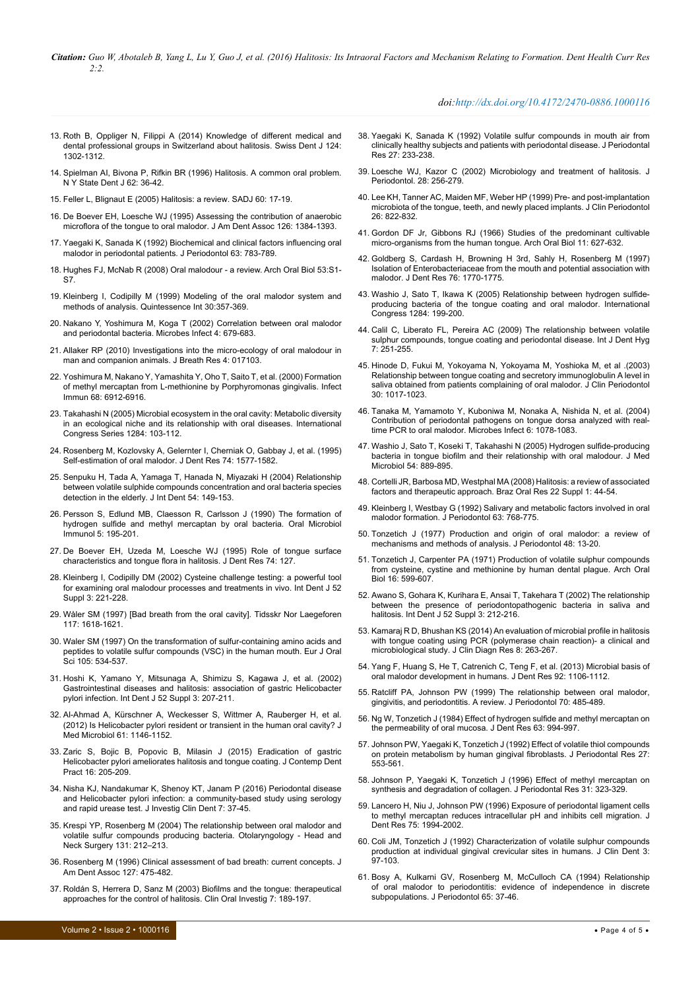*Citation: Guo W, Abotaleb B, Yang L, Lu Y, Guo J, et al. (2016) Halitosis: Its Intraoral Factors and Mechanism Relating to Formation. Dent Health Curr Res 2:2.*

### *doi:http://dx.doi.org/10.4172/2470-0886.1000116*

- <span id="page-3-0"></span>13. [Roth B, Oppliger N, Filippi A \(2014\) Knowledge of different medical and](http://www.ncbi.nlm.nih.gov/pubmed/25503646)  [dental professional groups in Switzerland about halitosis. Swiss Dent J 124:](http://www.ncbi.nlm.nih.gov/pubmed/25503646)  [1302-1312.](http://www.ncbi.nlm.nih.gov/pubmed/25503646)
- <span id="page-3-1"></span>14. [Spielman AI, Bivona P, Rifkin BR \(1996\) Halitosis. A common oral problem.](http://www.ncbi.nlm.nih.gov/pubmed/9002736)  [N Y State Dent J 62: 36-42.](http://www.ncbi.nlm.nih.gov/pubmed/9002736)
- <span id="page-3-2"></span>15. [Feller L, Blignaut E \(2005\) Halitosis: a review. SADJ 60: 17-19.](http://www.ncbi.nlm.nih.gov/pubmed/15861957)
- <span id="page-3-3"></span>16. [De Boever EH, Loesche WJ \(1995\) Assessing the contribution of anaerobic](http://www.ncbi.nlm.nih.gov/pubmed/7594010)  [microflora of the tongue to oral malodor. J Am Dent Assoc 126: 1384-1393.](http://www.ncbi.nlm.nih.gov/pubmed/7594010)
- <span id="page-3-4"></span>17. [Yaegaki K, Sanada K \(1992\) Biochemical and clinical factors influencing oral](http://www.ncbi.nlm.nih.gov/pubmed/1474480)  [malodor in periodontal patients. J Periodontol 63: 783-789.](http://www.ncbi.nlm.nih.gov/pubmed/1474480)
- <span id="page-3-5"></span>18. Hughes FJ, McNab R (2008) Oral malodour - a review. Arch Oral Biol 53:S1- S7.
- <span id="page-3-6"></span>19. Kleinberg I, Codipilly M (1999) Modeling of the oral malodor system and methods of analysis. Quintessence Int 30:357-369.
- <span id="page-3-7"></span>20. Nakano Y, Yoshimura M, Koga T (2002) Correlation between oral malodor and periodontal bacteria. Microbes Infect 4: 679-683.
- <span id="page-3-8"></span>21. [Allaker RP \(2010\) Investigations into the micro-ecology of oral malodour in](http://www.ncbi.nlm.nih.gov/pubmed/21386208)  [man and companion animals. J Breath Res 4: 017103.](http://www.ncbi.nlm.nih.gov/pubmed/21386208)
- <span id="page-3-9"></span>22. [Yoshimura M, Nakano Y, Yamashita Y, Oho T, Saito T, et al. \(2000\) Formation](http://www.ncbi.nlm.nih.gov/pubmed/11083813)  [of methyl mercaptan from L-methionine by Porphyromonas gingivalis. Infect](http://www.ncbi.nlm.nih.gov/pubmed/11083813)  [Immun 68: 6912-6916.](http://www.ncbi.nlm.nih.gov/pubmed/11083813)
- <span id="page-3-10"></span>23. [Takahashi N \(2005\) Microbial ecosystem in the oral cavity: Metabolic diversity](http://endoexperience.com/userfiles/file/oRAL_eCOSYSTEMS.pdf)  [in an ecological niche and its relationship with oral diseases. International](http://endoexperience.com/userfiles/file/oRAL_eCOSYSTEMS.pdf)  [Congress Series 1284: 103-112.](http://endoexperience.com/userfiles/file/oRAL_eCOSYSTEMS.pdf)
- <span id="page-3-11"></span>24. [Rosenberg M, Kozlovsky A, Gelernter I, Cherniak O, Gabbay J, et al. \(1995\)](http://www.ncbi.nlm.nih.gov/pubmed/7560419)  [Self-estimation of oral malodor. J Dent Res 74: 1577-1582.](http://www.ncbi.nlm.nih.gov/pubmed/7560419)
- <span id="page-3-12"></span>25. [Senpuku H, Tada A, Yamaga T, Hanada N, Miyazaki H \(2004\) Relationship](http://www.dent.niigata-u.ac.jp/prevent/english/niigata_study.html)  [between volatile sulphide compounds concentration and oral bacteria species](http://www.dent.niigata-u.ac.jp/prevent/english/niigata_study.html)  [detection in the elderly. J Int Dent 54: 149-153.](http://www.dent.niigata-u.ac.jp/prevent/english/niigata_study.html)
- <span id="page-3-13"></span>26. [Persson S, Edlund MB, Claesson R, Carlsson J \(1990\) The formation of](http://www.ncbi.nlm.nih.gov/pubmed/2082242)  [hydrogen sulfide and methyl mercaptan by oral bacteria. Oral Microbiol](http://www.ncbi.nlm.nih.gov/pubmed/2082242)  [Immunol 5: 195-201.](http://www.ncbi.nlm.nih.gov/pubmed/2082242)
- <span id="page-3-14"></span>27. [De Boever EH, Uzeda M, Loesche WJ \(1995\) Role of tongue surface](http://www.scielo.br/scielo.php?script=sci_arttext&pid=S1806-83242008000500007)  [characteristics and tongue flora in halitosis. J Dent Res 74: 127.](http://www.scielo.br/scielo.php?script=sci_arttext&pid=S1806-83242008000500007)
- <span id="page-3-15"></span>28. [Kleinberg I, Codipilly DM \(2002\) Cysteine challenge testing: a powerful tool](http://www.ncbi.nlm.nih.gov/pubmed/12090457)  [for examining oral malodour processes and treatments in vivo. Int Dent J 52](http://www.ncbi.nlm.nih.gov/pubmed/12090457)  [Suppl 3: 221-228.](http://www.ncbi.nlm.nih.gov/pubmed/12090457)
- <span id="page-3-16"></span>29. [Wåler SM \(1997\) \[Bad breath from the oral cavity\]. Tidsskr Nor Laegeforen](http://www.ncbi.nlm.nih.gov/pubmed/9198946)  [117: 1618-1621.](http://www.ncbi.nlm.nih.gov/pubmed/9198946)
- <span id="page-3-17"></span>30. [Waler SM \(1997\) On the transformation of sulfur-containing amino acids and](http://www.ncbi.nlm.nih.gov/pubmed/9395120)  [peptides to volatile sulfur compounds \(VSC\) in the human mouth. Eur J Oral](http://www.ncbi.nlm.nih.gov/pubmed/9395120)  [Sci 105: 534-537.](http://www.ncbi.nlm.nih.gov/pubmed/9395120)
- <span id="page-3-27"></span>31. [Hoshi K, Yamano Y, Mitsunaga A, Shimizu S, Kagawa J, et al. \(2002\)](http://www.ncbi.nlm.nih.gov/pubmed/12090454)  [Gastrointestinal diseases and halitosis: association of gastric Helicobacter](http://www.ncbi.nlm.nih.gov/pubmed/12090454)  [pylori infection. Int Dent J 52 Suppl 3: 207-211.](http://www.ncbi.nlm.nih.gov/pubmed/12090454)
- <span id="page-3-28"></span>32. [Al-Ahmad A, Kürschner A, Weckesser S, Wittmer A, Rauberger H, et al.](http://www.ncbi.nlm.nih.gov/pubmed/22499779)  [\(2012\) Is Helicobacter pylori resident or transient in the human oral cavity? J](http://www.ncbi.nlm.nih.gov/pubmed/22499779)  [Med Microbiol 61: 1146-1152.](http://www.ncbi.nlm.nih.gov/pubmed/22499779)
- <span id="page-3-29"></span>33. [Zaric S, Bojic B, Popovic B, Milasin J \(2015\) Eradication of gastric](http://www.ncbi.nlm.nih.gov/pubmed/26057919)  [Helicobacter pylori ameliorates halitosis and tongue coating. J Contemp Dent](http://www.ncbi.nlm.nih.gov/pubmed/26057919)  [Pract 16: 205-209.](http://www.ncbi.nlm.nih.gov/pubmed/26057919)
- <span id="page-3-30"></span>34. [Nisha KJ, Nandakumar K, Shenoy KT, Janam P \(2016\) Periodontal disease](http://www.ncbi.nlm.nih.gov/pubmed/25175565)  [and Helicobacter pylori infection: a community-based study using serology](http://www.ncbi.nlm.nih.gov/pubmed/25175565)  [and rapid urease test. J Investig Clin Dent 7: 37-45.](http://www.ncbi.nlm.nih.gov/pubmed/25175565)
- <span id="page-3-31"></span>35. [Krespi YP, Rosenberg M \(2004\) The relationship between oral malodor and](http://www.ncbi.nlm.nih.gov/pubmed/17071291)  [volatile sulfur compounds producing bacteria. Otolaryngology - Head and](http://www.ncbi.nlm.nih.gov/pubmed/17071291)  [Neck Surgery 131: 212–213.](http://www.ncbi.nlm.nih.gov/pubmed/17071291)
- <span id="page-3-32"></span>36. [Rosenberg M \(1996\) Clinical assessment of bad breath: current concepts. J](http://www.ncbi.nlm.nih.gov/pubmed/8655868)  [Am Dent Assoc 127: 475-482.](http://www.ncbi.nlm.nih.gov/pubmed/8655868)
- <span id="page-3-33"></span>37. [Roldán S, Herrera D, Sanz M \(2003\) Biofilms and the tongue: therapeutical](http://www.ncbi.nlm.nih.gov/pubmed/14513303)  [approaches for the control of halitosis. Clin Oral Investig 7: 189-197.](http://www.ncbi.nlm.nih.gov/pubmed/14513303)
- <span id="page-3-34"></span>38. [Yaegaki K, Sanada K \(1992\) Volatile sulfur compounds in mouth air from](http://www.ncbi.nlm.nih.gov/pubmed/1640345)  [clinically healthy subjects and patients with periodontal disease. J Periodontal](http://www.ncbi.nlm.nih.gov/pubmed/1640345)  [Res 27: 233-238.](http://www.ncbi.nlm.nih.gov/pubmed/1640345)
- <span id="page-3-35"></span>39. [Loesche WJ, Kazor C \(2002\) Microbiology and treatment of halitosis. J](http://www.ncbi.nlm.nih.gov/pubmed/12013345)  [Periodontol. 28: 256-279.](http://www.ncbi.nlm.nih.gov/pubmed/12013345)
- <span id="page-3-36"></span>40. [Lee KH, Tanner AC, Maiden MF, Weber HP \(1999\) Pre- and post-implantation](http://www.ncbi.nlm.nih.gov/pubmed/10599911)  [microbiota of the tongue, teeth, and newly placed implants. J Clin Periodontol](http://www.ncbi.nlm.nih.gov/pubmed/10599911)  [26: 822-832.](http://www.ncbi.nlm.nih.gov/pubmed/10599911)
- <span id="page-3-37"></span>41. [Gordon DF Jr, Gibbons RJ \(1966\) Studies of the predominant cultivable](http://www.ncbi.nlm.nih.gov/pubmed/5225869)  [micro-organisms from the human tongue. Arch Oral Biol 11: 627-632.](http://www.ncbi.nlm.nih.gov/pubmed/5225869)
- <span id="page-3-38"></span>42. [Goldberg S, Cardash H, Browning H 3rd, Sahly H, Rosenberg M \(1997\)](http://www.ncbi.nlm.nih.gov/pubmed/9372794)  [Isolation of Enterobacteriaceae from the mouth and potential association with](http://www.ncbi.nlm.nih.gov/pubmed/9372794)  [malodor. J Dent Res 76: 1770-1775.](http://www.ncbi.nlm.nih.gov/pubmed/9372794)
- <span id="page-3-18"></span>43. [Washio J, Sato T, Ikawa K \(2005\) Relationship between hydrogen sulfide](http://www.ncbi.nlm.nih.gov/pubmed/16091443)[producing bacteria of the tongue coating and oral malodor. International](http://www.ncbi.nlm.nih.gov/pubmed/16091443)  [Congress 1284: 199-200.](http://www.ncbi.nlm.nih.gov/pubmed/16091443)
- <span id="page-3-39"></span>44. [Calil C, Liberato FL, Pereira AC \(2009\) The relationship between volatile](http://www.ncbi.nlm.nih.gov/pubmed/19832911)  sulphur compounds, tongue coating and periodontal disease. Int J Dent Hyg [7: 251-255.](http://www.ncbi.nlm.nih.gov/pubmed/19832911)
- <span id="page-3-40"></span>45. [Hinode D, Fukui M, Yokoyama N, Yokoyama M, Yoshioka M, et al .\(2003\)](http://www.ncbi.nlm.nih.gov/pubmed/15002886)  [Relationship between tongue coating and secretory immunoglobulin A level in](http://www.ncbi.nlm.nih.gov/pubmed/15002886)  [saliva obtained from patients complaining of oral malodor. J Clin Periodontol](http://www.ncbi.nlm.nih.gov/pubmed/15002886)  [30: 1017-1023.](http://www.ncbi.nlm.nih.gov/pubmed/15002886)
- <span id="page-3-19"></span>46. [Tanaka M, Yamamoto Y, Kuboniwa M, Nonaka A, Nishida N, et al. \(2004\)](http://www.ncbi.nlm.nih.gov/pubmed/15380777)  [Contribution of periodontal pathogens on tongue dorsa analyzed with real](http://www.ncbi.nlm.nih.gov/pubmed/15380777)[time PCR to oral malodor. Microbes Infect 6: 1078-1083.](http://www.ncbi.nlm.nih.gov/pubmed/15380777)
- <span id="page-3-20"></span>47. [Washio J, Sato T, Koseki T, Takahashi N \(2005\) Hydrogen sulfide-producing](http://www.ncbi.nlm.nih.gov/pubmed/16091443)  [bacteria in tongue biofilm and their relationship with oral malodour. J Med](http://www.ncbi.nlm.nih.gov/pubmed/16091443)  [Microbiol 54: 889-895.](http://www.ncbi.nlm.nih.gov/pubmed/16091443)
- <span id="page-3-21"></span>48. [Cortelli JR, Barbosa MD, Westphal MA \(2008\) Halitosis: a review of associated](http://www.ncbi.nlm.nih.gov/pubmed/19838550)  [factors and therapeutic approach. Braz Oral Res 22 Suppl 1: 44-54.](http://www.ncbi.nlm.nih.gov/pubmed/19838550)
- <span id="page-3-22"></span>49. [Kleinberg I, Westbay G \(1992\) Salivary and metabolic factors involved in oral](http://www.ncbi.nlm.nih.gov/pubmed/1474478)  [malodor formation. J Periodontol 63: 768-775.](http://www.ncbi.nlm.nih.gov/pubmed/1474478)
- <span id="page-3-23"></span>50. [Tonzetich J \(1977\) Production and origin of oral malodor: a review of](http://www.ncbi.nlm.nih.gov/pubmed/264535)  [mechanisms and methods of analysis. J Periodontol 48: 13-20.](http://www.ncbi.nlm.nih.gov/pubmed/264535)
- <span id="page-3-24"></span>51. [Tonzetich J, Carpenter PA \(1971\) Production of volatile sulphur compounds](http://www.ncbi.nlm.nih.gov/pubmed/5283484)  [from cysteine, cystine and methionine by human dental plague. Arch Oral](http://www.ncbi.nlm.nih.gov/pubmed/5283484)  [Biol 16: 599-607.](http://www.ncbi.nlm.nih.gov/pubmed/5283484)
- <span id="page-3-25"></span>52. [Awano S, Gohara K, Kurihara E, Ansai T, Takehara T \(2002\) The relationship](http://www.ncbi.nlm.nih.gov/pubmed/12090455)  [between the presence of periodontopathogenic bacteria in saliva and](http://www.ncbi.nlm.nih.gov/pubmed/12090455)  [halitosis. Int Dent J 52 Suppl 3: 212-216.](http://www.ncbi.nlm.nih.gov/pubmed/12090455)
- <span id="page-3-26"></span>53. [Kamaraj R D, Bhushan KS \(2014\) An evaluation of microbial profile in halitosis](http://www.ncbi.nlm.nih.gov/pubmed/24596791)  with tonque coating using PCR (polymerase chain reaction)- a clinical and [microbiological study. J Clin Diagn Res 8: 263-267.](http://www.ncbi.nlm.nih.gov/pubmed/24596791)
- <span id="page-3-41"></span>54. [Yang F, Huang S, He T, Catrenich C, Teng F, et al. \(2013\) Microbial basis of](http://www.ncbi.nlm.nih.gov/pubmed/24101743)  [oral malodor development in humans. J Dent Res 92: 1106-1112.](http://www.ncbi.nlm.nih.gov/pubmed/24101743)
- <span id="page-3-42"></span>55. [Ratcliff PA, Johnson PW \(1999\) The relationship between oral malodor,](http://www.ncbi.nlm.nih.gov/pubmed/10368052)  [gingivitis, and periodontitis. A review. J Periodontol 70: 485-489.](http://www.ncbi.nlm.nih.gov/pubmed/10368052)
- <span id="page-3-43"></span>56. [Ng W, Tonzetich J \(1984\) Effect of hydrogen sulfide and methyl mercaptan on](http://www.ncbi.nlm.nih.gov/pubmed/6588090)  [the permeability of oral mucosa. J Dent Res 63: 994-997.](http://www.ncbi.nlm.nih.gov/pubmed/6588090)
- <span id="page-3-44"></span>57. [Johnson PW, Yaegaki K, Tonzetich J \(1992\) Effect of volatile thiol compounds](http://www.ncbi.nlm.nih.gov/pubmed/1460544)  [on protein metabolism by human gingival fibroblasts. J Periodontal Res 27:](http://www.ncbi.nlm.nih.gov/pubmed/1460544)  [553-561.](http://www.ncbi.nlm.nih.gov/pubmed/1460544)
- <span id="page-3-45"></span>58. [Johnson P, Yaegaki K, Tonzetich J \(1996\) Effect of methyl mercaptan on](http://www.ncbi.nlm.nih.gov/pubmed/8858536)  [synthesis and degradation of collagen. J Periodontal Res 31: 323-329.](http://www.ncbi.nlm.nih.gov/pubmed/8858536)
- <span id="page-3-46"></span>59. [Lancero H, Niu J, Johnson PW \(1996\) Exposure of periodontal ligament cells](http://www.ncbi.nlm.nih.gov/pubmed/9033455)  [to methyl mercaptan reduces intracellular pH and inhibits cell migration. J](http://www.ncbi.nlm.nih.gov/pubmed/9033455)  [Dent Res 75: 1994-2002.](http://www.ncbi.nlm.nih.gov/pubmed/9033455)
- <span id="page-3-47"></span>60. [Coli JM, Tonzetich J \(1992\) Characterization of volatile sulphur compounds](http://www.ncbi.nlm.nih.gov/pubmed/1306680)  [production at individual gingival crevicular sites in humans. J Clin Dent 3:](http://www.ncbi.nlm.nih.gov/pubmed/1306680)  [97-103.](http://www.ncbi.nlm.nih.gov/pubmed/1306680)
- <span id="page-3-48"></span>61. [Bosy A, Kulkarni GV, Rosenberg M, McCulloch CA \(1994\) Relationship](http://www.ncbi.nlm.nih.gov/pubmed/8133414)  [of oral malodor to periodontitis: evidence of independence in discrete](http://www.ncbi.nlm.nih.gov/pubmed/8133414)  [subpopulations. J Periodontol 65: 37-46.](http://www.ncbi.nlm.nih.gov/pubmed/8133414)